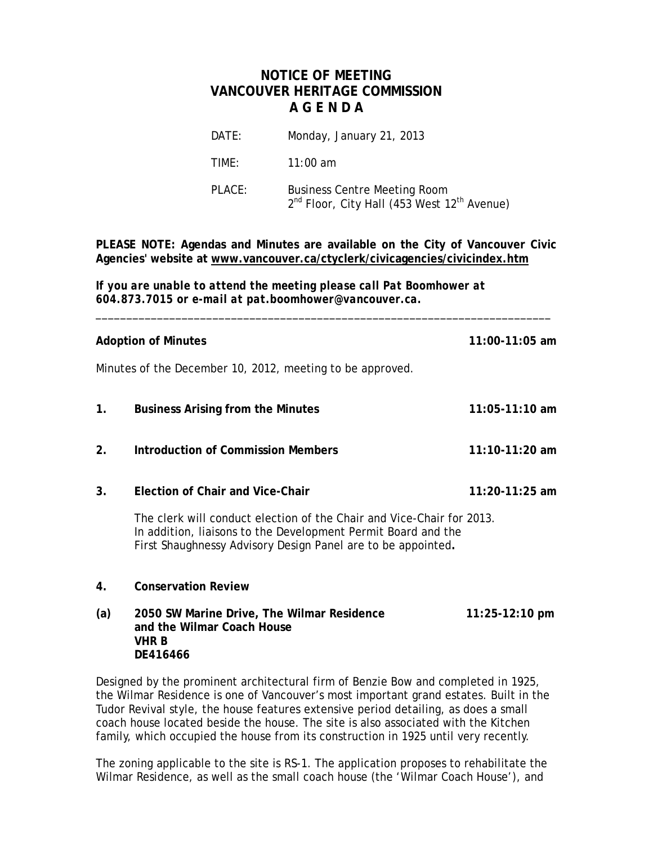## **NOTICE OF MEETING VANCOUVER HERITAGE COMMISSION A G E N D A**

| DATE:  | Monday, January 21, 2013                                                                                   |
|--------|------------------------------------------------------------------------------------------------------------|
| TIME:  | $11:00$ am                                                                                                 |
| PLACE: | <b>Business Centre Meeting Room</b><br>2 <sup>nd</sup> Floor, City Hall (453 West 12 <sup>th</sup> Avenue) |

**PLEASE NOTE: Agendas and Minutes are available on the City of Vancouver Civic Agencies' website at www.vancouver.ca/ctyclerk/civicagencies/civicindex.htm**

\_\_\_\_\_\_\_\_\_\_\_\_\_\_\_\_\_\_\_\_\_\_\_\_\_\_\_\_\_\_\_\_\_\_\_\_\_\_\_\_\_\_\_\_\_\_\_\_\_\_\_\_\_\_\_\_\_\_\_\_\_\_\_\_\_\_\_\_\_\_\_\_\_\_

*If you are unable to attend the meeting please call Pat Boomhower at 604.873.7015 or e-mail at pat.boomhower@vancouver.ca.*

| <b>Adoption of Minutes</b> | $11:00 - 11:05$ am                                                                                                                                                                                     |                          |
|----------------------------|--------------------------------------------------------------------------------------------------------------------------------------------------------------------------------------------------------|--------------------------|
|                            | Minutes of the December 10, 2012, meeting to be approved.                                                                                                                                              |                          |
| $\mathbf{1}$ .             | <b>Business Arising from the Minutes</b>                                                                                                                                                               | $11:05 - 11:10$ am       |
| 2.                         | <b>Introduction of Commission Members</b>                                                                                                                                                              | $11:10-11:20$ am         |
| 3.                         | Election of Chair and Vice-Chair                                                                                                                                                                       | 11:20-11:25 am           |
|                            | The clerk will conduct election of the Chair and Vice-Chair for 2013.<br>In addition, Iiaisons to the Development Permit Board and the<br>First Shaughnessy Advisory Design Panel are to be appointed. |                          |
| 4.                         | <b>Conservation Review</b>                                                                                                                                                                             |                          |
| (a)                        | 2050 SW Marine Drive, The Wilmar Residence<br>and the Wilmar Coach House<br>VHR B                                                                                                                      | $11:25-12:10 \text{ pm}$ |

Designed by the prominent architectural firm of Benzie Bow and completed in 1925, the Wilmar Residence is one of Vancouver's most important grand estates. Built in the Tudor Revival style, the house features extensive period detailing, as does a small coach house located beside the house. The site is also associated with the Kitchen family, which occupied the house from its construction in 1925 until very recently.

**DE416466**

The zoning applicable to the site is RS-1. The application proposes to rehabilitate the Wilmar Residence, as well as the small coach house (the 'Wilmar Coach House'), and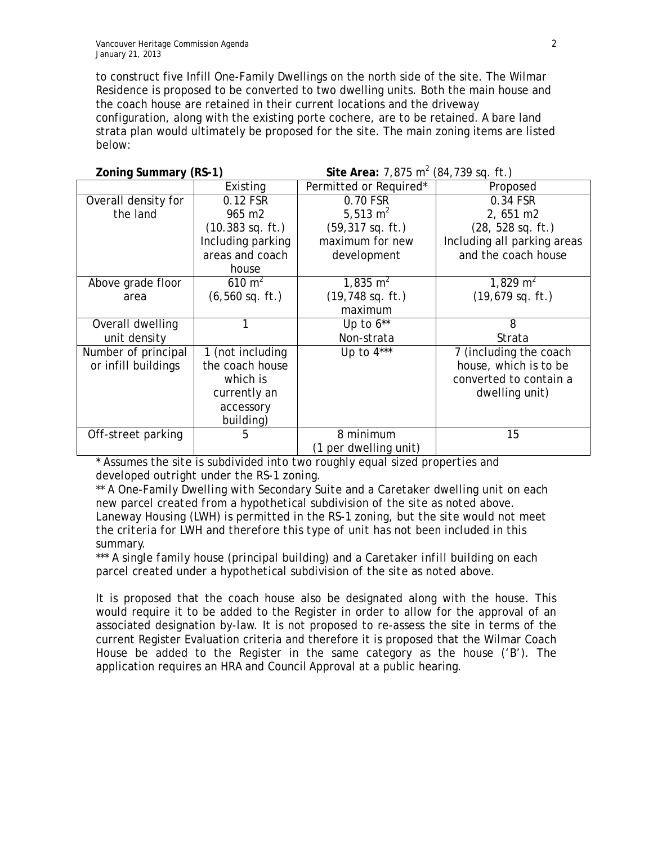to construct five Infill One-Family Dwellings on the north side of the site. The Wilmar Residence is proposed to be converted to two dwelling units. Both the main house and the coach house are retained in their current locations and the driveway configuration, along with the existing porte cochere, are to be retained. A bare land strata plan would ultimately be proposed for the site. The main zoning items are listed below:

| Zoning Summary (RS-1) |                            | Site Area: $7,875$ m <sup>2</sup> (84,739 sq. ft.) |                                     |
|-----------------------|----------------------------|----------------------------------------------------|-------------------------------------|
|                       | Existing                   | Permitted or Required*                             | Proposed                            |
| Overall density for   | 0.12 FSR                   | 0.70 FSR                                           | 0.34 FSR                            |
| the land              | 965 m2                     | 5,513 $m2$                                         | 2,651 m2                            |
|                       | $(10.383 \text{ sq. ft.})$ | $(59, 317$ sq. ft.)                                | (28, 528 sq. ft.)                   |
|                       | Including parking          | maximum for new                                    | Including all parking areas         |
|                       | areas and coach            | development                                        | and the coach house                 |
|                       | house                      |                                                    |                                     |
| Above grade floor     | $610 \text{ m}^2$          | $1,835 \; \text{m}^2$                              | 1,829 m <sup>2</sup>                |
| area                  | $(6, 560$ sq. ft.)         | $(19, 748$ sq. ft.)                                | $(19,679$ sq. ft.)                  |
|                       |                            | maximum                                            |                                     |
| Overall dwelling      | 1                          | Up to $6**$                                        | 8                                   |
| unit density          |                            | Non-strata                                         | Strata                              |
| Number of principal   | 1 (not including           | Up to $4***$                                       | $\overline{7}$ (including the coach |
| or infill buildings   | the coach house            |                                                    | house, which is to be               |
|                       | which is                   |                                                    | converted to contain a              |
|                       | currently an               |                                                    | dwelling unit)                      |
|                       | accessory                  |                                                    |                                     |
|                       | building)                  |                                                    |                                     |
| Off-street parking    | 5                          | 8 minimum                                          | 15                                  |
|                       |                            | (1 per dwelling unit)                              |                                     |

*\* Assumes the site is subdivided into two roughly equal sized properties and developed outright under the RS-1 zoning.*

*\*\* A One-Family Dwelling with Secondary Suite and a Caretaker dwelling unit on each new parcel created from a hypothetical subdivision of the site as noted above. Laneway Housing (LWH) is permitted in the RS-1 zoning, but the site would not meet the criteria for LWH and therefore this type of unit has not been included in this summary.*

*\*\*\* A single family house (principal building) and a Caretaker infill building on each parcel created under a hypothetical subdivision of the site as noted above.*

It is proposed that the coach house also be designated along with the house. This would require it to be added to the Register in order to allow for the approval of an associated designation by-law. It is not proposed to re-assess the site in terms of the current Register Evaluation criteria and therefore it is proposed that the Wilmar Coach House be added to the Register in the same category as the house ('B'). The application requires an HRA and Council Approval at a public hearing.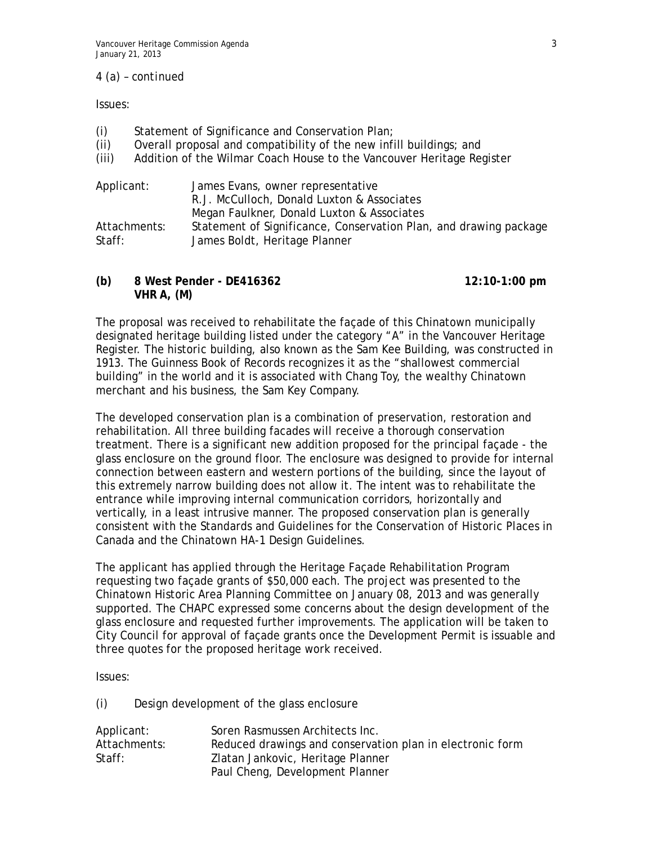## *4 (a) – continued*

Issues:

- (i) Statement of Significance and Conservation Plan;
- (ii) Overall proposal and compatibility of the new infill buildings; and
- (iii) Addition of the Wilmar Coach House to the Vancouver Heritage Register

| Applicant:   | James Evans, owner representative                                 |
|--------------|-------------------------------------------------------------------|
|              | R.J. McCulloch, Donald Luxton & Associates                        |
|              | Megan Faulkner, Donald Luxton & Associates                        |
| Attachments: | Statement of Significance, Conservation Plan, and drawing package |
| Staff:       | James Boldt, Heritage Planner                                     |

**(b) 8 West Pender - DE416362 12:10-1:00 pm VHR A, (M)**

The proposal was received to rehabilitate the façade of this Chinatown municipally designated heritage building listed under the category "A" in the Vancouver Heritage Register. The historic building, also known as the Sam Kee Building, was constructed in 1913. The Guinness Book of Records recognizes it as the "shallowest commercial building" in the world and it is associated with Chang Toy, the wealthy Chinatown merchant and his business, the Sam Key Company.

The developed conservation plan is a combination of preservation, restoration and rehabilitation. All three building facades will receive a thorough conservation treatment. There is a significant new addition proposed for the principal façade - the glass enclosure on the ground floor. The enclosure was designed to provide for internal connection between eastern and western portions of the building, since the layout of this extremely narrow building does not allow it. The intent was to rehabilitate the entrance while improving internal communication corridors, horizontally and vertically, in a least intrusive manner. The proposed conservation plan is generally consistent with the Standards and Guidelines for the Conservation of Historic Places in Canada and the Chinatown HA-1 Design Guidelines.

The applicant has applied through the Heritage Façade Rehabilitation Program requesting two façade grants of \$50,000 each. The project was presented to the Chinatown Historic Area Planning Committee on January 08, 2013 and was generally supported. The CHAPC expressed some concerns about the design development of the glass enclosure and requested further improvements. The application will be taken to City Council for approval of façade grants once the Development Permit is issuable and three quotes for the proposed heritage work received.

Issues:

(i) Design development of the glass enclosure

| Applicant:   | Soren Rasmussen Architects Inc.                           |
|--------------|-----------------------------------------------------------|
| Attachments: | Reduced drawings and conservation plan in electronic form |
| Staff:       | Zlatan Jankovic, Heritage Planner                         |
|              | Paul Cheng, Development Planner                           |